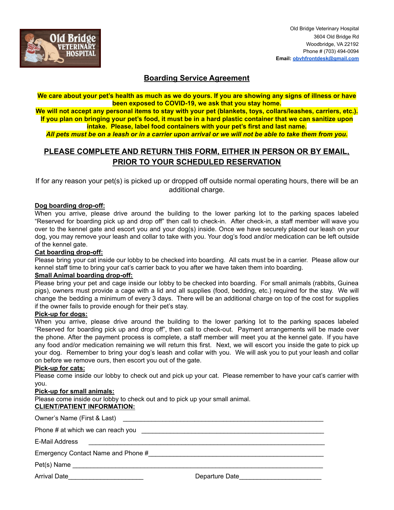

### **Boarding Service Agreement**

We care about your pet's health as much as we do yours. If you are showing any signs of illness or have **been exposed to COVID-19, we ask that you stay home.**

We will not accept any personal items to stay with your pet (blankets, toys, collars/leashes, carriers, etc.). If you plan on bringing your pet's food, it must be in a hard plastic container that we can sanitize upon **intake. Please, label food containers with your pet's first and last name.**

All pets must be on a leash or in a carrier upon arrival or we will not be able to take them from you.

# **PLEASE COMPLETE AND RETURN THIS FORM, EITHER IN PERSON OR BY EMAIL, PRIOR TO YOUR SCHEDULED RESERVATION**

If for any reason your pet(s) is picked up or dropped off outside normal operating hours, there will be an additional charge.

#### **Dog boarding drop-off:**

When you arrive, please drive around the building to the lower parking lot to the parking spaces labeled "Reserved for boarding pick up and drop off" then call to check-in. After check-in, a staff member will wave you over to the kennel gate and escort you and your dog(s) inside. Once we have securely placed our leash on your dog, you may remove your leash and collar to take with you. Your dog's food and/or medication can be left outside of the kennel gate.

#### **Cat boarding drop-off:**

Please bring your cat inside our lobby to be checked into boarding. All cats must be in a carrier. Please allow our kennel staff time to bring your cat's carrier back to you after we have taken them into boarding.

#### **Small Animal boarding drop-off:**

Please bring your pet and cage inside our lobby to be checked into boarding. For small animals (rabbits, Guinea pigs), owners must provide a cage with a lid and all supplies (food, bedding, etc.) required for the stay. We will change the bedding a minimum of every 3 days. There will be an additional charge on top of the cost for supplies if the owner fails to provide enough for their pet's stay.

#### **Pick-up for dogs:**

When you arrive, please drive around the building to the lower parking lot to the parking spaces labeled "Reserved for boarding pick up and drop off", then call to check-out. Payment arrangements will be made over the phone. After the payment process is complete, a staff member will meet you at the kennel gate. If you have any food and/or medication remaining we will return this first. Next, we will escort you inside the gate to pick up your dog. Remember to bring your dog's leash and collar with you. We will ask you to put your leash and collar on before we remove ours, then escort you out of the gate.

#### **Pick-up for cats:**

Please come inside our lobby to check out and pick up your cat. Please remember to have your cat's carrier with you.

#### **Pick-up for small animals:**

Please come inside our lobby to check out and to pick up your small animal.

## **CLIENT/PATIENT INFORMATION:**

| E-Mail Address                                                                                                 |  |
|----------------------------------------------------------------------------------------------------------------|--|
| Emergency Contact Name and Phone # The Contract of the Second Second Seconds and Theorem and Theorem Seconds S |  |
|                                                                                                                |  |
| Arrival Date_______________________                                                                            |  |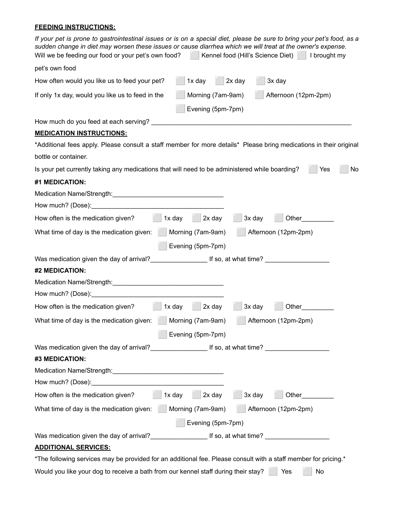### **FEEDING INSTRUCTIONS:**

| If your pet is prone to gastrointestinal issues or is on a special diet, please be sure to bring your pet's food, as a<br>sudden change in diet may worsen these issues or cause diarrhea which we will treat at the owner's expense.<br>Will we be feeding our food or your pet's own food?<br>    Kennel food (Hill's Science Diet)       brought my |    |
|--------------------------------------------------------------------------------------------------------------------------------------------------------------------------------------------------------------------------------------------------------------------------------------------------------------------------------------------------------|----|
| pet's own food                                                                                                                                                                                                                                                                                                                                         |    |
| 2x day<br>1x day<br>3x day<br>How often would you like us to feed your pet?                                                                                                                                                                                                                                                                            |    |
| Morning (7am-9am)<br>Afternoon (12pm-2pm)<br>If only 1x day, would you like us to feed in the<br>Evening (5pm-7pm)                                                                                                                                                                                                                                     |    |
|                                                                                                                                                                                                                                                                                                                                                        |    |
| <b>MEDICATION INSTRUCTIONS:</b>                                                                                                                                                                                                                                                                                                                        |    |
| *Additional fees apply. Please consult a staff member for more details* Please bring medications in their original                                                                                                                                                                                                                                     |    |
| bottle or container.                                                                                                                                                                                                                                                                                                                                   |    |
| Is your pet currently taking any medications that will need to be administered while boarding?<br>Yes                                                                                                                                                                                                                                                  | No |
| #1 MEDICATION:                                                                                                                                                                                                                                                                                                                                         |    |
|                                                                                                                                                                                                                                                                                                                                                        |    |
|                                                                                                                                                                                                                                                                                                                                                        |    |
| 3x day<br>How often is the medication given?<br>$\vert$ 2x day<br>1x day                                                                                                                                                                                                                                                                               |    |
| What time of day is the medication given:<br>Morning (7am-9am)<br>Afternoon (12pm-2pm)                                                                                                                                                                                                                                                                 |    |
| Evening (5pm-7pm)                                                                                                                                                                                                                                                                                                                                      |    |
|                                                                                                                                                                                                                                                                                                                                                        |    |
| #2 MEDICATION:                                                                                                                                                                                                                                                                                                                                         |    |
|                                                                                                                                                                                                                                                                                                                                                        |    |
|                                                                                                                                                                                                                                                                                                                                                        |    |
| 1x day<br>2x day<br>How often is the medication given?<br>3x day<br>Other                                                                                                                                                                                                                                                                              |    |
| Afternoon (12pm-2pm)<br>What time of day is the medication given:<br>Morning (7am-9am)                                                                                                                                                                                                                                                                 |    |
| Evening (5pm-7pm)                                                                                                                                                                                                                                                                                                                                      |    |
|                                                                                                                                                                                                                                                                                                                                                        |    |
| #3 MEDICATION:                                                                                                                                                                                                                                                                                                                                         |    |
|                                                                                                                                                                                                                                                                                                                                                        |    |
|                                                                                                                                                                                                                                                                                                                                                        |    |
| $\sqrt{1}$ 1x day<br>$2x$ day<br>$3x$ day<br>How often is the medication given?<br>Other                                                                                                                                                                                                                                                               |    |
| What time of day is the medication given:<br>Morning (7am-9am)<br>Afternoon (12pm-2pm)                                                                                                                                                                                                                                                                 |    |
| Evening (5pm-7pm)                                                                                                                                                                                                                                                                                                                                      |    |
| Was medication given the day of arrival?_________________________If so, at what time? ____________________                                                                                                                                                                                                                                             |    |
| <b>ADDITIONAL SERVICES:</b>                                                                                                                                                                                                                                                                                                                            |    |
| *The following services may be provided for an additional fee. Please consult with a staff member for pricing.*                                                                                                                                                                                                                                        |    |
| Would you like your dog to receive a bath from our kennel staff during their stay?<br>Yes<br>No                                                                                                                                                                                                                                                        |    |